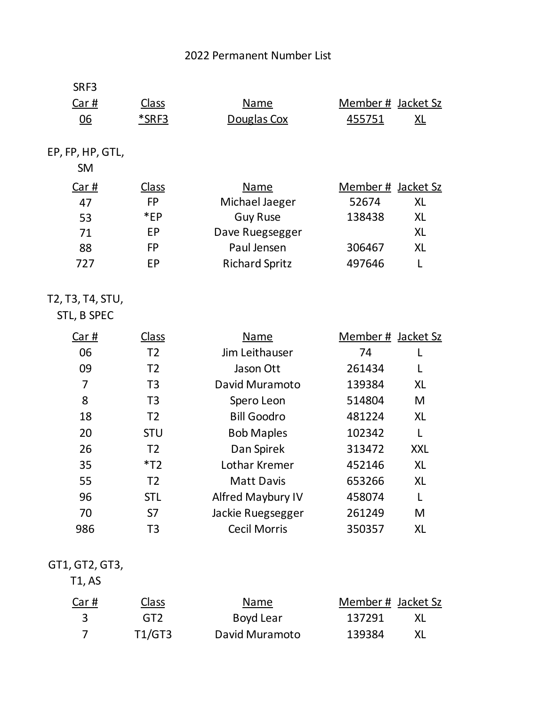## 2022 Permanent Number List

| SRF3                            |                |                       |                    |            |
|---------------------------------|----------------|-----------------------|--------------------|------------|
| Car#                            | <b>Class</b>   | <b>Name</b>           | Member # Jacket Sz |            |
| <u>06</u>                       | <u>*SRF3</u>   | Douglas Cox           | 455751             | XL         |
| EP, FP, HP, GTL,<br><b>SM</b>   |                |                       |                    |            |
| Car#                            | <b>Class</b>   | Name                  | Member # Jacket Sz |            |
| 47                              | <b>FP</b>      | Michael Jaeger        | 52674              | <b>XL</b>  |
| 53                              | $*EP$          | <b>Guy Ruse</b>       | 138438             | <b>XL</b>  |
| 71                              | EP             | Dave Ruegsegger       |                    | <b>XL</b>  |
| 88                              | <b>FP</b>      | Paul Jensen           | 306467             | <b>XL</b>  |
| 727                             | <b>EP</b>      | <b>Richard Spritz</b> | 497646             | L          |
| T2, T3, T4, STU,<br>STL, B SPEC |                |                       |                    |            |
| Car#                            | <b>Class</b>   | <b>Name</b>           | Member # Jacket Sz |            |
| 06                              | T <sub>2</sub> | Jim Leithauser        | 74                 |            |
| 09                              | T <sub>2</sub> | Jason Ott             | 261434             | L          |
| $\overline{7}$                  | T <sub>3</sub> | David Muramoto        | 139384             | <b>XL</b>  |
| 8                               | T <sub>3</sub> | Spero Leon            | 514804             | M          |
| 18                              | T <sub>2</sub> | <b>Bill Goodro</b>    | 481224             | <b>XL</b>  |
| 20                              | <b>STU</b>     | <b>Bob Maples</b>     | 102342             | L          |
| 26                              | T <sub>2</sub> | Dan Spirek            | 313472             | <b>XXL</b> |
| 35                              | $*T2$          | Lothar Kremer         | 452146             | <b>XL</b>  |
| 55                              | T <sub>2</sub> | <b>Matt Davis</b>     | 653266             | <b>XL</b>  |
| 96                              | <b>STL</b>     | Alfred Maybury IV     | 458074             |            |
| 70                              | S7             | Jackie Ruegsegger     | 261249             | M          |
| 986                             | T <sub>3</sub> | <b>Cecil Morris</b>   | 350357             | XL         |
|                                 |                |                       |                    |            |

## GT1, GT2, GT3,

T1, AS

| Car#           | <b>Class</b> | Name           | Member # Jacket Sz |  |
|----------------|--------------|----------------|--------------------|--|
| - 3            | GT2.         | Boyd Lear      | 137291             |  |
| $\overline{7}$ | T1/GT3       | David Muramoto | 139384             |  |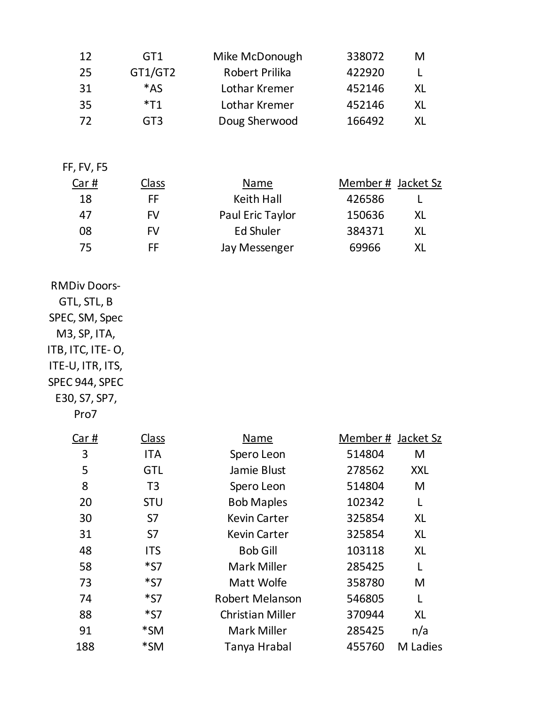| 12                                                                                                                                                      | GT1             | Mike McDonough          | 338072             | M          |
|---------------------------------------------------------------------------------------------------------------------------------------------------------|-----------------|-------------------------|--------------------|------------|
| 25                                                                                                                                                      | GT1/GT2         | Robert Prilika          | 422920             | L          |
| 31                                                                                                                                                      | $*AS$           | Lothar Kremer           | 452146             | <b>XL</b>  |
| 35                                                                                                                                                      | $*T1$           | Lothar Kremer           | 452146             | <b>XL</b>  |
| 72                                                                                                                                                      | GT <sub>3</sub> | Doug Sherwood           | 166492             | <b>XL</b>  |
|                                                                                                                                                         |                 |                         |                    |            |
| FF, FV, F5                                                                                                                                              |                 |                         |                    |            |
| Car#                                                                                                                                                    | <u>Class</u>    | <b>Name</b>             | Member # Jacket Sz |            |
| 18                                                                                                                                                      | FF              | <b>Keith Hall</b>       | 426586             | L          |
| 47                                                                                                                                                      | <b>FV</b>       | Paul Eric Taylor        | 150636             | <b>XL</b>  |
| 08                                                                                                                                                      | <b>FV</b>       | <b>Ed Shuler</b>        | 384371             | <b>XL</b>  |
| 75                                                                                                                                                      | FF              | Jay Messenger           | 69966              | <b>XL</b>  |
|                                                                                                                                                         |                 |                         |                    |            |
| <b>RMDiv Doors-</b><br>GTL, STL, B<br>SPEC, SM, Spec<br>M3, SP, ITA,<br>ITB, ITC, ITE-O,<br>ITE-U, ITR, ITS,<br>SPEC 944, SPEC<br>E30, S7, SP7,<br>Pro7 |                 |                         |                    |            |
| <u>Car #</u>                                                                                                                                            | Class           | <b>Name</b>             | Member # Jacket Sz |            |
| 3                                                                                                                                                       | <b>ITA</b>      | Spero Leon              | 514804             | M          |
| 5                                                                                                                                                       | <b>GTL</b>      | Jamie Blust             | 278562             | <b>XXL</b> |
| 8                                                                                                                                                       | T <sub>3</sub>  | Spero Leon              | 514804             | M          |
| 20                                                                                                                                                      | <b>STU</b>      | <b>Bob Maples</b>       | 102342             | L          |
| 30                                                                                                                                                      | S7              | <b>Kevin Carter</b>     | 325854             | <b>XL</b>  |
| 31                                                                                                                                                      | S7              | <b>Kevin Carter</b>     | 325854             | <b>XL</b>  |
| 48                                                                                                                                                      | <b>ITS</b>      | <b>Bob Gill</b>         | 103118             | <b>XL</b>  |
| 58                                                                                                                                                      | $*_{57}$        | Mark Miller             | 285425             | L          |
| 73                                                                                                                                                      | $*_{57}$        | Matt Wolfe              | 358780             | M          |
| 74                                                                                                                                                      | $*_{57}$        | <b>Robert Melanson</b>  | 546805             | L          |
| 88                                                                                                                                                      | $*_{57}$        | <b>Christian Miller</b> | 370944             | <b>XL</b>  |
| 91                                                                                                                                                      | *SM             | Mark Miller             | 285425             | n/a        |
| 188                                                                                                                                                     | $*SM$           | Tanya Hrabal            | 455760             | M Ladies   |